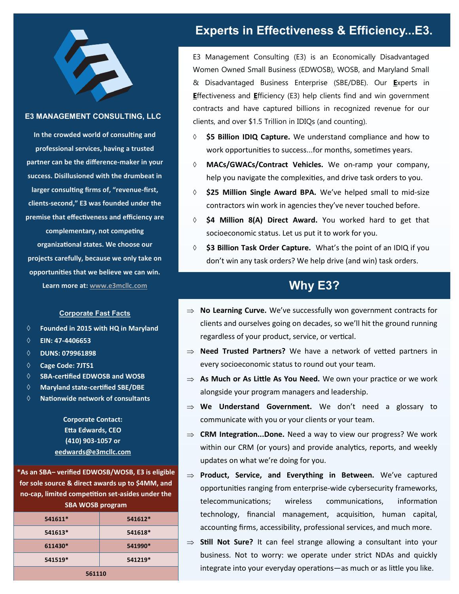

### E3 MANAGEMENT CONSULTING, LLC

**In the crowded world of consulting and professional services, having a trusted partner can be the difference-maker in your success. Disillusioned with the drumbeat in larger consulting firms of, "revenue-first, clients-second," E3 was founded under the premise that effectiveness and efficiency are complementary, not competing organizational states. We choose our projects carefully, because we only take on opportunities that we believe we can win. Learn more at: [www.e3mcllc.com](http://www.e3managementconsulting.com/)**

#### Corporate Fast Facts

- **Founded in 2015 with HQ in Maryland**
- **EIN: 47-4406653**
- **DUNS: 079961898**
- **Cage Code: 7JTS1**
- **SBA-certified EDWOSB and WOSB**
- **Maryland state-certified SBE/DBE**
- **Nationwide network of consultants**

**Corporate Contact: Etta Edwards, CEO (410) 903-1057 or eedwards@e3mcllc.com**

**\*As an SBA– verified EDWOSB/WOSB, E3 is eligible for sole source & direct awards up to \$4MM, and no-cap, limited competition set-asides under the SBA WOSB program**

| 541611* | 541612* |
|---------|---------|
| 541613* | 541618* |
| 611430* | 541990* |
| 541519* | 541219* |
| 561110  |         |

## Experts in Effectiveness & Efficiency...E3.

E3 Management Consulting (E3) is an Economically Disadvantaged Women Owned Small Business (EDWOSB), WOSB, and Maryland Small & Disadvantaged Business Enterprise (SBE/DBE). Our **E**xperts in **E**ffectiveness and **E**fficiency (E3) help clients find and win government contracts and have captured billions in recognized revenue for our clients, and over \$1.5 Trillion in IDIQs (and counting).

- **\$5 Billion IDIQ Capture.** We understand compliance and how to work opportunities to success...for months, sometimes years.
- **MACs/GWACs/Contract Vehicles.** We on-ramp your company, help you navigate the complexities, and drive task orders to you.
- **\$25 Million Single Award BPA.** We've helped small to mid-size contractors win work in agencies they've never touched before.
- **\$4 Million 8(A) Direct Award.** You worked hard to get that socioeconomic status. Let us put it to work for you.
- **\$3 Billion Task Order Capture.** What's the point of an IDIQ if you don't win any task orders? We help drive (and win) task orders.

## Why E3?

- ⇒ **No Learning Curve.** We've successfully won government contracts for clients and ourselves going on decades, so we'll hit the ground running regardless of your product, service, or vertical.
- ⇒ **Need Trusted Partners?** We have a network of vetted partners in every socioeconomic status to round out your team.
- **As Much or As Little As You Need.** We own your practice or we work alongside your program managers and leadership.
- ⇒ **We Understand Government.** We don't need a glossary to communicate with you or your clients or your team.
- **CRM Integration...Done.** Need a way to view our progress? We work within our CRM (or yours) and provide analytics, reports, and weekly updates on what we're doing for you.
- **Product, Service, and Everything in Between.** We've captured opportunities ranging from enterprise-wide cybersecurity frameworks, telecommunications; wireless communications, information technology, financial management, acquisition, human capital, accounting firms, accessibility, professional services, and much more.
- ⇒ **Still Not Sure?** It can feel strange allowing a consultant into your business. Not to worry: we operate under strict NDAs and quickly integrate into your everyday operations—as much or as little you like.